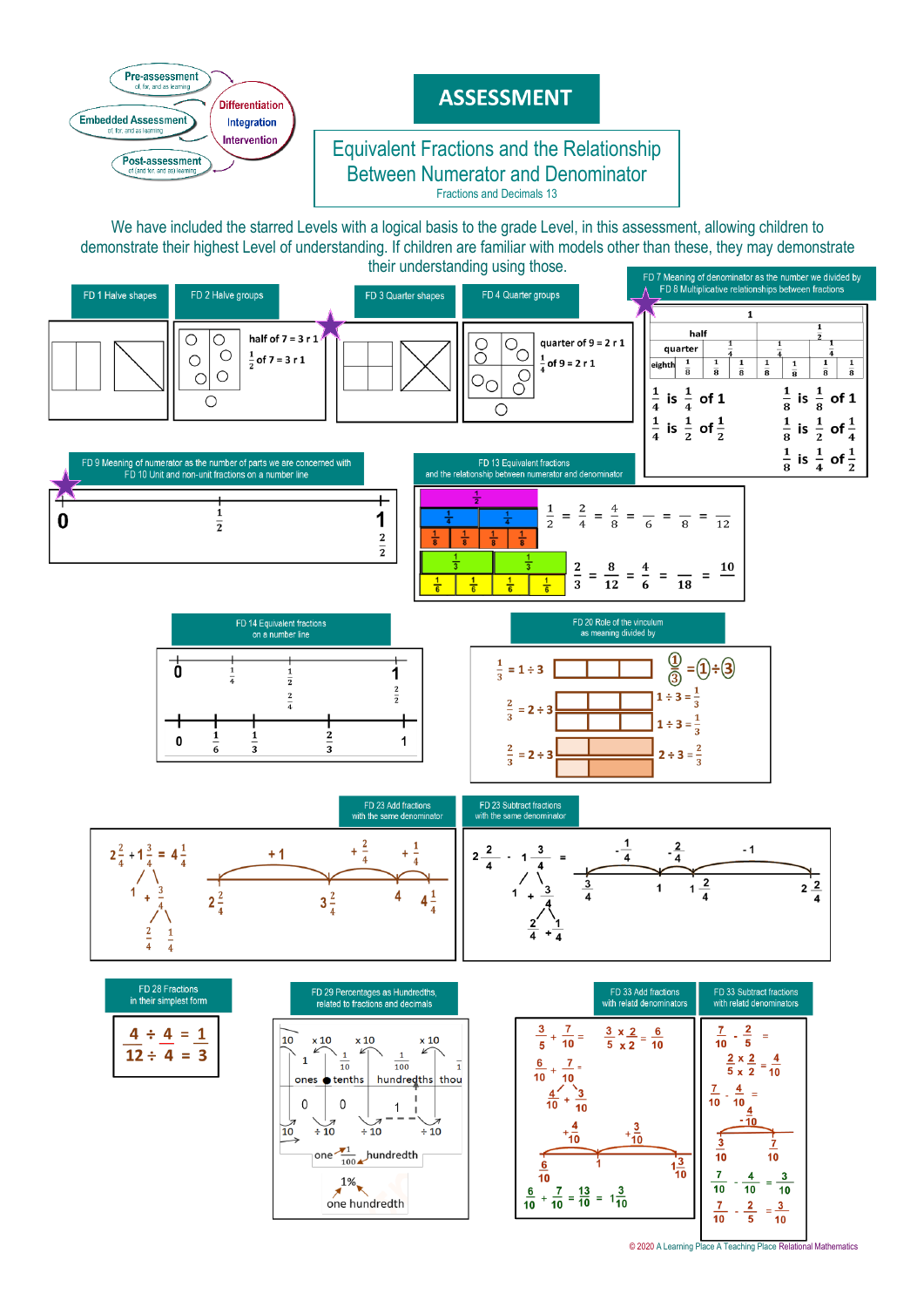

<sup>© 2020</sup> [A Learning Place A Teaching Place Relational Mathematics](http://www.alearningplace.com.au/)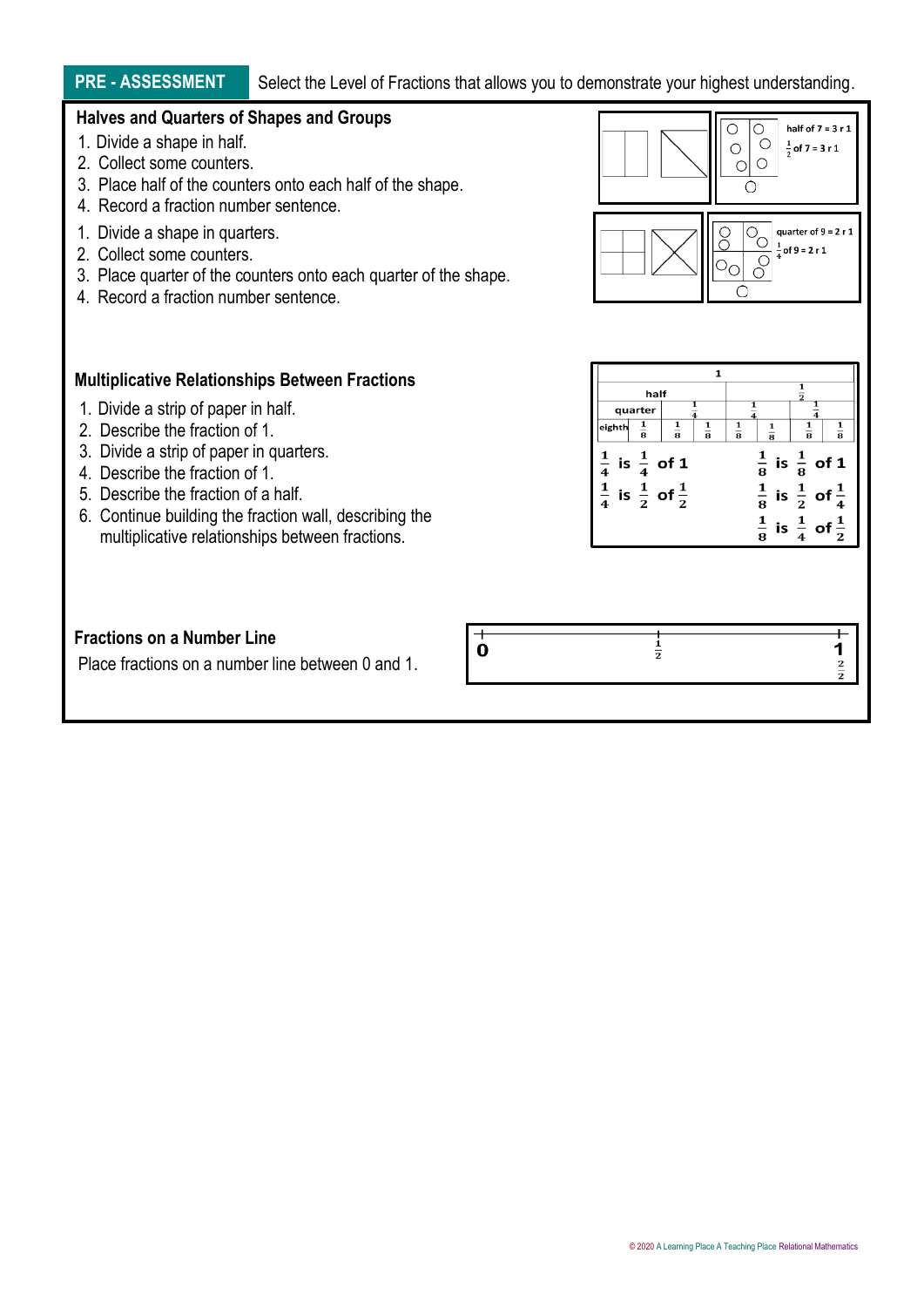# **PRE - ASSESSMENT** Select the Level of Fractions that allows you to demonstrate your highest understanding.